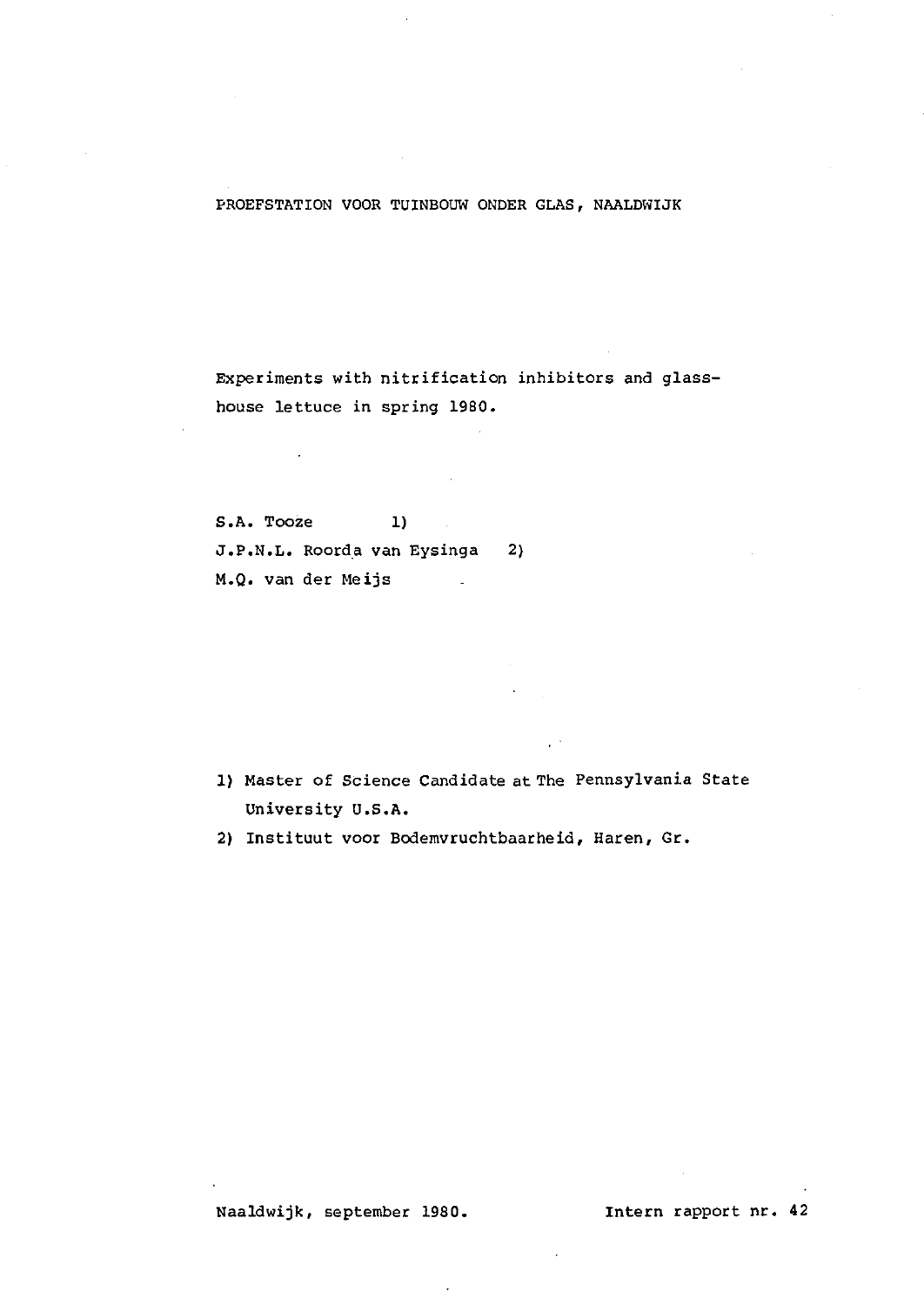# PROEFSTATION VOOR TUINBOUW ONDER GLAS, NAALDWIJK

Experiments with nitrification inhibitors and glasshouse lettuce in spring 1980.

S.A. Tooze 1) J.P.N.L. Roorda van Eysinga 2) M.Q. van der Meijs  $\mathcal{L}^{\mathcal{L}}$ 

1) Master of Science Candidate at The Pennsylvania State University U.S.A.

2) Instituut voor Bodemvruchtbaarheid, Haren, Gr.

Naaldwijk, september 1980. Intern rapport nr. 42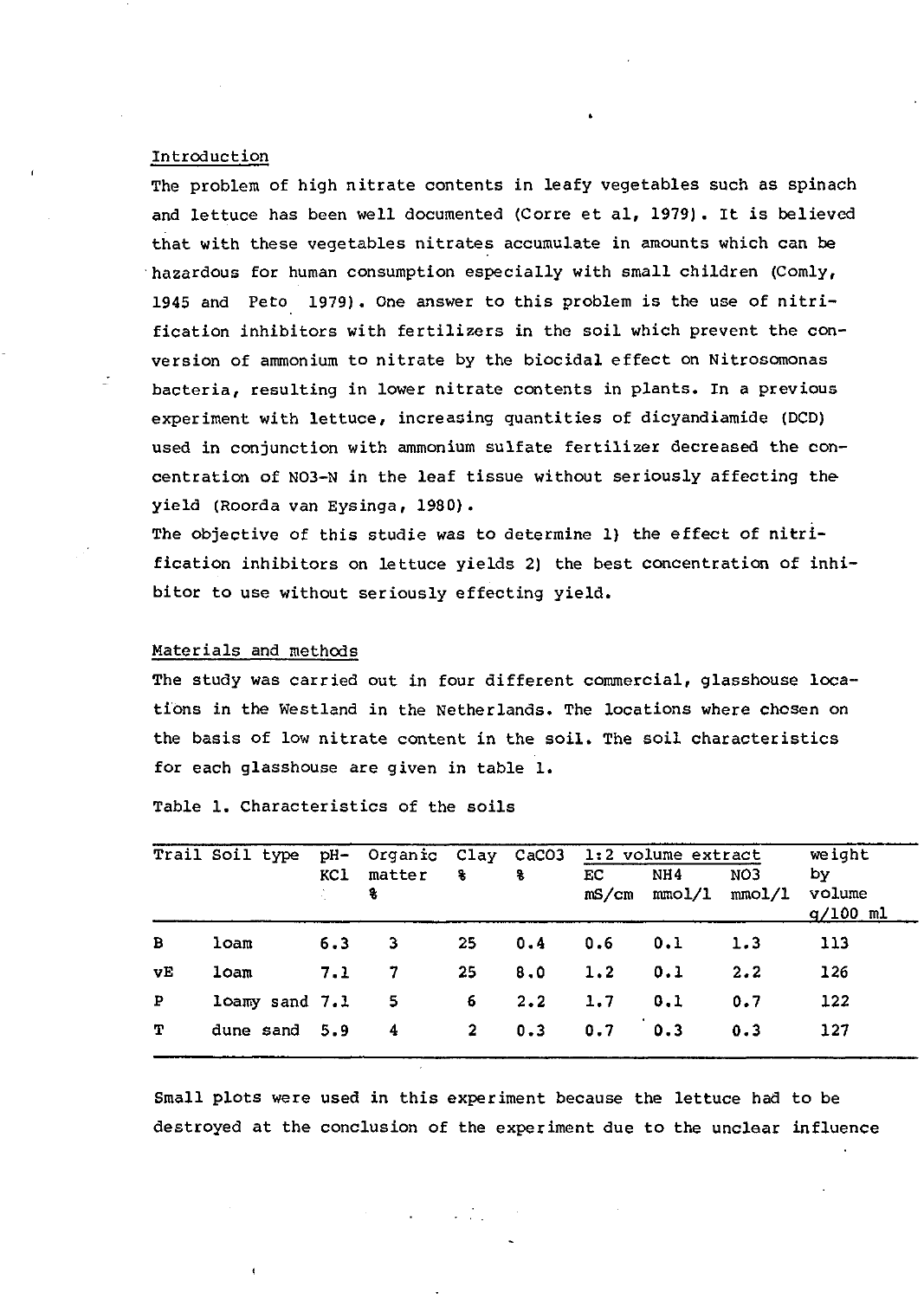# Introduction

The problem of high nitrate contents in leafy vegetables such as spinach and lettuce has been well documented (Corre et al, 1979). It is believed that with these vegetables nitrates accumulate in amounts which can be hazardous for human consumption especially with small children (Comly, 1945 and Peto 1979). One answer to this problem is the use of nitrification inhibitors with fertilizers in the soil which prevent the conversion of ammonium to nitrate by the biocidal effect on Nitrosomonas bacteria, resulting in lower nitrate contents in plants. In a previous experiment with lettuce, increasing quantities of dicyandiamide (DCD) used in conjunction with ammonium sulfate fertilizer decreased the concentration of N03-N in the leaf tissue without seriously affecting theyield (Roorda van Eysinga, 1980).

The objective of this studie was to determine 1) the effect of nitrification inhibitors on lettuce yields 2) the best concentration of inhibitor to use without seriously effecting yield.

#### Materials and methods

The study was carried out in four different commercial, glasshouse locations in the Westland in the Netherlands. The locations where chosen on the basis of low nitrate content in the soil. The soil characteristics for each glasshouse are given in table 1.

|              | Trail Soil type |     | pH- Organic Clay CaCO3 |             |             |             | 1:2 volume extract | weight        |                            |
|--------------|-----------------|-----|------------------------|-------------|-------------|-------------|--------------------|---------------|----------------------------|
|              |                 | KCl | matter<br>8            | 8           | 8           | EC<br>mS/cm | NH4<br>mmol/l      | NO3<br>mmol/I | by<br>volume<br>$q/100$ ml |
| B            | loam            | 6.3 | 3.                     | 25          | 0.4         | 0.6         | 0.1                | 1.3           | 113                        |
| vΕ           | loam            | 7.1 | 7                      | 25          | 8.0         | 1.2         | 0.1                | 2.2           | 126                        |
| $\mathbf{P}$ | loamy sand 7.1  |     | - 5                    | 6.          | $2 \cdot 2$ | 1.7         | 0.1                | 0.7           | 122                        |
| т            | dune sand 5.9   |     | - 4                    | $2^{\circ}$ | 0.3         | 0.7         | 0.3                | 0.3           | 127                        |

Table 1. Characteristics of the soils

Small plots were used in this experiment because the lettuce had to be destroyed at the conclusion of the experiment due to the unclear influence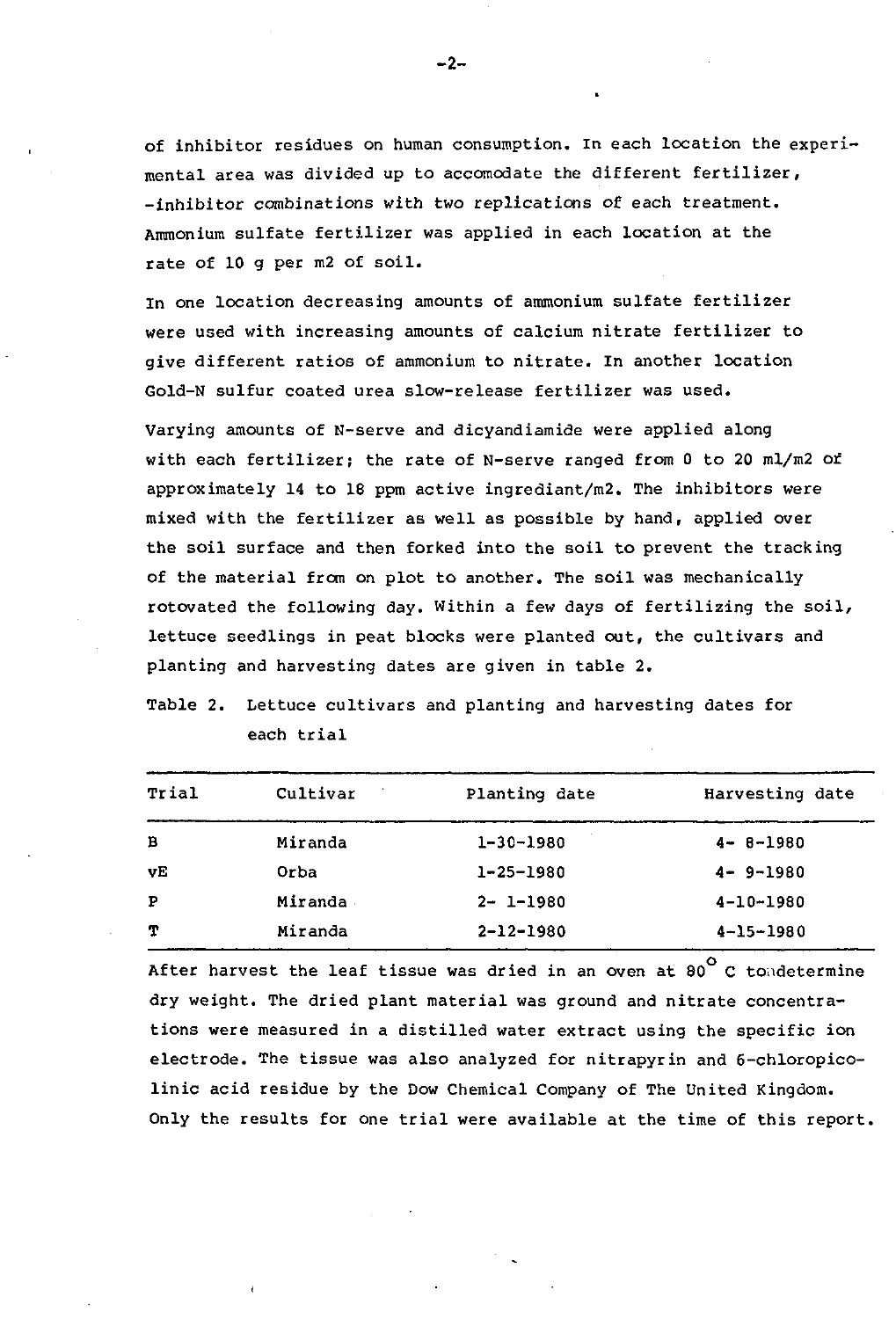of inhibitor residues on human consumption. In each location the experimental area was divided up to accomodate the different fertilizer, -inhibitor combinations with two replications of each treatment. Ammonium sulfate fertilizer was applied in each location at the rate of 10 g per m2 of soil.

In one location decreasing amounts of ammonium sulfate fertilizer were used with increasing amounts of calcium nitrate fertilizer to give different ratios of ammonium to nitrate. In another location Gold-N sulfur coated urea slow-release fertilizer was used.

Varying amounts of N-serve and dicyandiamide were applied along with each fertilizer; the rate of N-serve ranged from 0 to 20 ml/m2 of approximately 14 to 18 ppm active ingrediant/m2. The inhibitors were mixed with the fertilizer as well as possible by hand, applied over the soil surface and then forked into the soil to prevent the tracking of the material from on plot to another. The soil was mechanically rotovated the following day. Within a few days of fertilizing the soil, lettuce seedlings in peat blocks were planted out, the cultivars and planting and harvesting dates are given in table 2.

Table 2. Lettuce cultivars and planting and harvesting dates for each trial

| Trial        | Cultivar | Planting date   | Harvesting date |
|--------------|----------|-----------------|-----------------|
| B            | Miranda  | $1 - 30 - 1980$ | $4 - 8 - 1980$  |
| vE           | Orba     | $1 - 25 - 1980$ | $4 - 9 - 1980$  |
| $\mathbf{P}$ | Miranda  | $2 - 1 - 1980$  | $4 - 10 - 1980$ |
| т            | Miranda  | $2 - 12 - 1980$ | $4 - 15 - 1980$ |

After harvest the leaf tissue was dried in an oven at  $80^\circ$  C tondetermine dry weight. The dried plant material was ground and nitrate concentrations were measured in a distilled water extract using the specific ion electrode. The tissue was also analyzed for nitrapyrin and 6-chloropicolinic acid residue by the Dow Chemical Company of The United Kingdom. Only the results for one trial were available at the time of this report.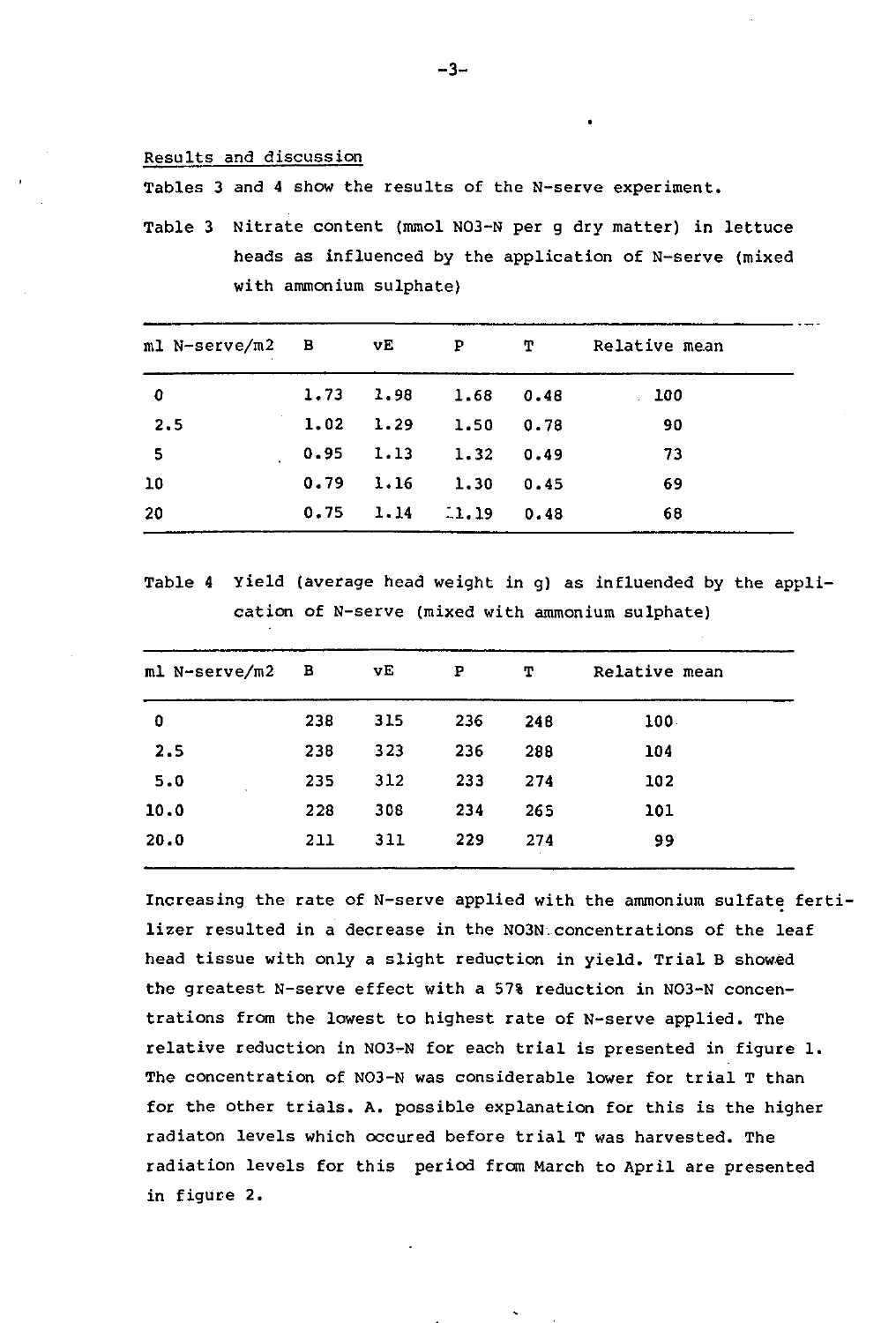### Results and discussion

Tables 3 and 4 show the results of the N-serve experiment.

Table 3 Nitrate content (mmol N03-N per g dry matter) in lettuce heads as influenced by the application of N-serve (mixed with ammonium sulphate)

| ml N-serve/m2 B |      | vE   | $\mathbf{P}$ | т    | Relative mean |
|-----------------|------|------|--------------|------|---------------|
| 0               | 1.73 | 1.98 | 1.68         | 0.48 | 100           |
| 2.5             | 1.02 | 1.29 | 1.50         | 0.78 | -90           |
| - 5             | 0.95 | 1.13 | 1.32         | 0.49 | -73           |
| 10              | 0.79 | 1.16 | 1.30         | 0.45 | 69            |
| 20              | 0.75 | 1.14 | $-1.19$      | 0.48 | 68            |

Table 4 Yield (average head weight in g) as influended by the application of N-serve (mixed with ammonium sulphate)

| ml N-serve/m2 | <b>B</b> | VE  | Р   | т   | Relative mean    |  |
|---------------|----------|-----|-----|-----|------------------|--|
| 0             | 238      | 315 | 236 | 248 | 100 <sub>1</sub> |  |
| 2.5           | 238      | 323 | 236 | 288 | 104              |  |
| 5.0           | 235      | 312 | 233 | 274 | 102              |  |
| 10.0          | 228      | 308 | 234 | 265 | 101              |  |
| 20.0          | 211      | 311 | 229 | 274 | 99               |  |
|               |          |     |     |     |                  |  |

Increasing the rate of N-serve applied with the ammonium sulfate fertilizer resulted in a decrease in the N03N.concentrations of the leaf head tissue with only a slight reduction in yield. Trial B showed the greatest N-serve effect with a 57% reduction in N03-N concentrations from the lowest to highest rate of N-serve applied. The relative reduction in N03-N for each trial is presented in figure 1. The concentration of N03-N was considerable lower for trial T than for the other trials. A. possible explanation for this is the higher radiaton levels which occured before trial T was harvested. The radiation levels for this period from March to April are presented in figure 2.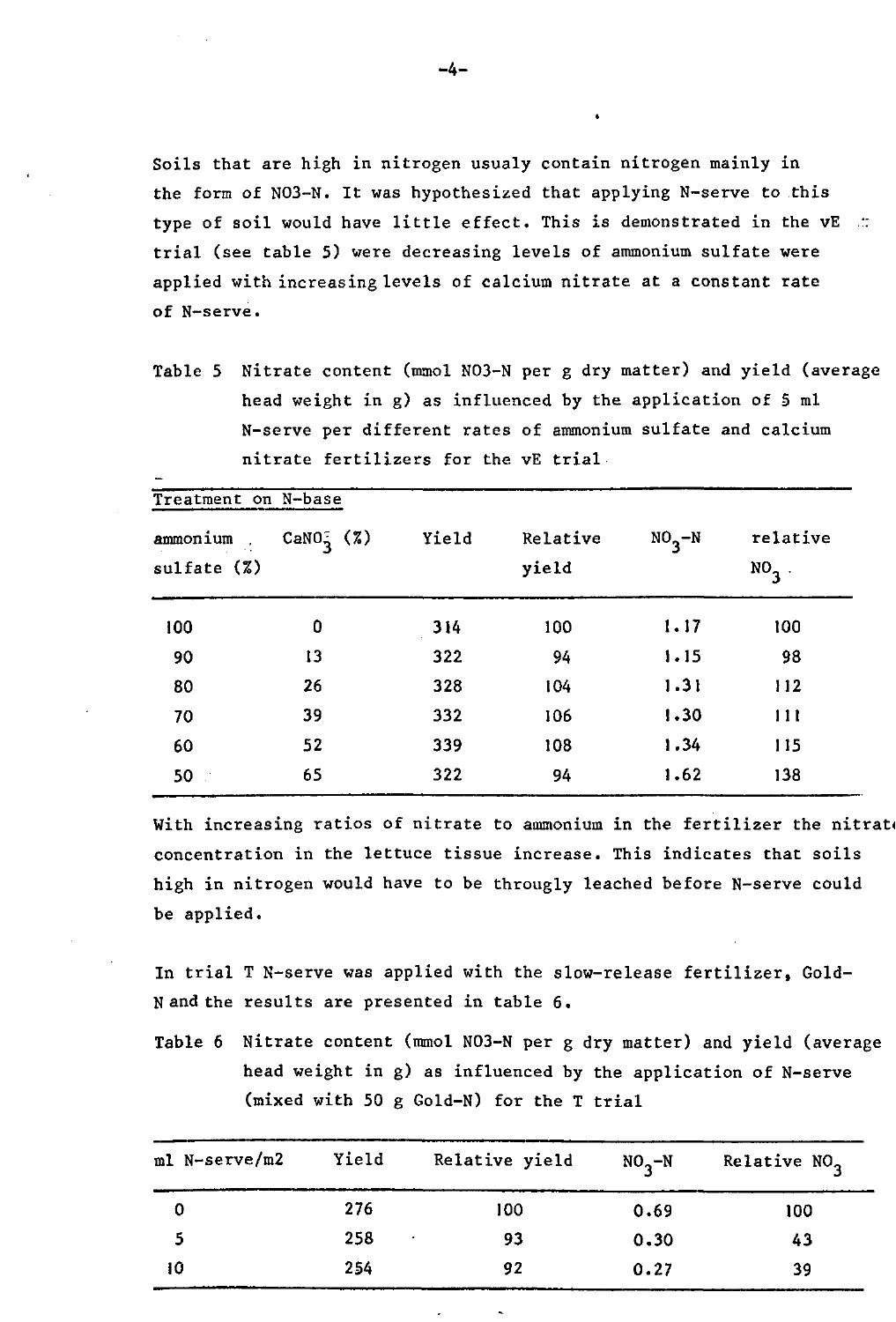Soils that are high in nitrogen usualy contain nitrogen mainly in the form of N03-N. It was hypothesized that applying N-serve to this type of soil would have little effect. This is demonstrated in the  $vE$  .: trial (see table 5) were decreasing levels of ammonium sulfate were applied with increasing levels of calcium nitrate at a constant rate of N-serve.

Table 5 Nitrate content (mmol N03-N per g dry matter) and yield (average head weight in g) as influenced by the application of 5 ml N-serve per different rates of ammonium sulfate and calcium nitrate fertilizers for the vE trial

|                        | Treatment on N-base |       |                   |                     |                     |
|------------------------|---------------------|-------|-------------------|---------------------|---------------------|
| ammonium<br>sulfate(%) | $CaNO_2^-(7)$       | Yield | Relative<br>yield | $NO_{\mathbf{R}}-N$ | relative<br>$NO3$ . |
| 100                    | 0                   | 314   | 100               | 1.17                | 100                 |
| 90                     | 13                  | 322   | 94                | 1.15                | 98                  |
| 80                     | 26                  | 328   | 104               | 1.31                | 112                 |
| 70                     | 39                  | 332   | 106               | 1.30                | 111                 |
| 60                     | 52                  | 339   | 108               | 1.34                | 115                 |
| 50                     | 65                  | 322   | 94                | 1.62                | 138                 |

With increasing ratios of nitrate to ammonium in the fertilizer the nitrati concentration in the lettuce tissue increase. This indicates that soils high in nitrogen would have to be througly leached before N-serve could be applied.

In trial T N-serve was applied with the slow-release fertilizer, Gold-N and the results are presented in table 6.

Table 6 Nitrate content (mmol N03-N per g dry matter) and yield (average head weight in g) as influenced by the application of N-serve (mixed with 50 g Gold-N) for the T trial

| ml N-serve/m2 | Yield | Relative yield | $NO_{2}-N$ | Relative NO <sub>2</sub> |
|---------------|-------|----------------|------------|--------------------------|
|               | 276   | 100            | 0.69       | 100                      |
|               | 258   | 93             | 0.30       | 43                       |
| 10            | 254   | 92             | 0.27       | 39                       |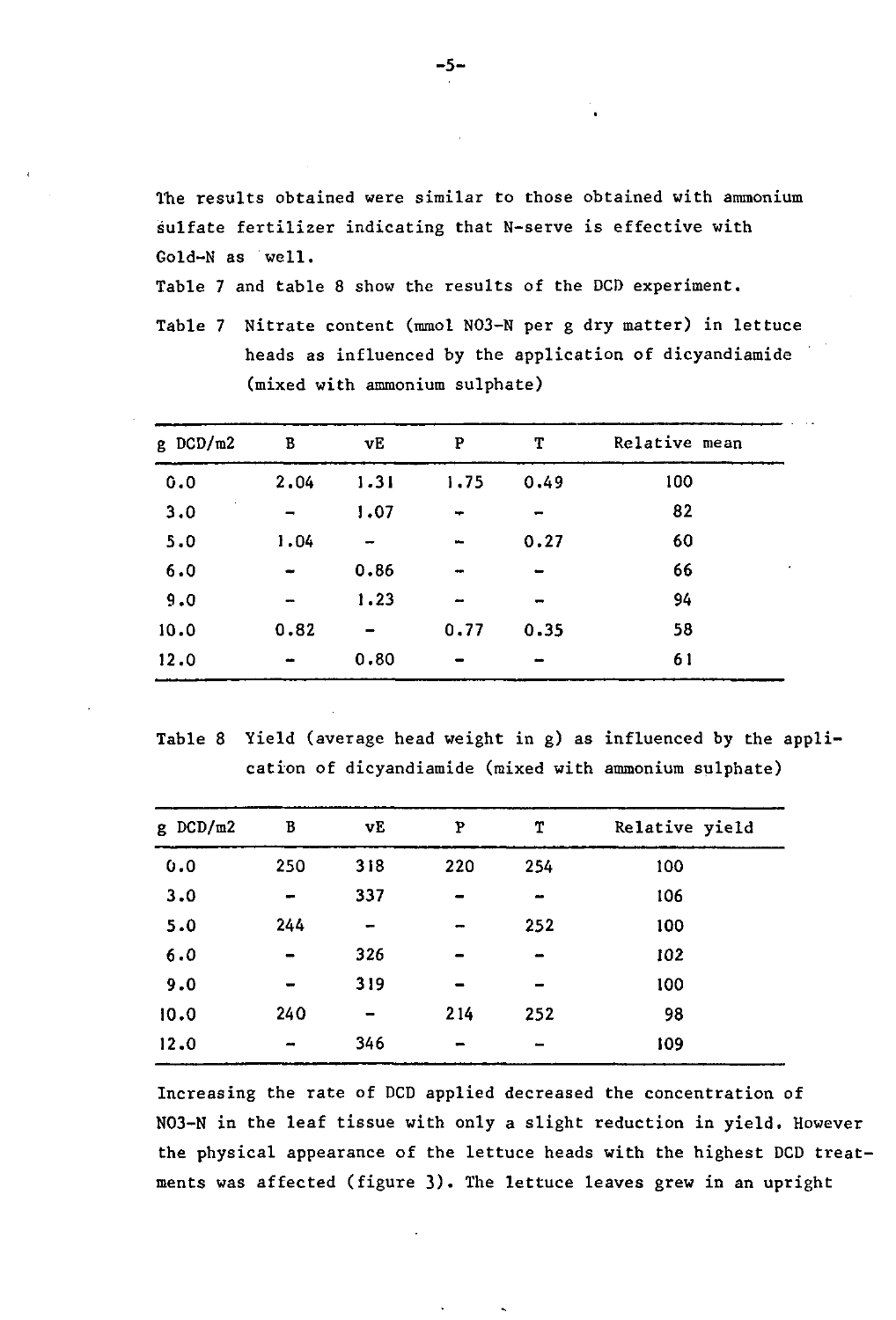The results obtained were similar to those obtained with ammonium sulfate fertilizer indicating that N-serve is effective with Gold-N as well.

Table 7 and table 8 show the results of the DCD experiment.

Table 7 Nitrate content (mmol N03-N per g dry matter) in lettuce heads as influenced by the application of dicyandiamide (mixed with ammonium sulphate)

| $g$ DCD/m2 | $\, {\bf B}$ | νE   | P                        | T              | Relative mean |
|------------|--------------|------|--------------------------|----------------|---------------|
| 0.0        | 2.04         | 1.31 | 1.75                     | 0.49           | 100           |
| 3.0        |              | 1.07 | ÷                        |                | 82            |
| 5.0        | 1.04         |      | $\overline{\phantom{a}}$ | 0.27           | 60            |
| 6.0        |              | 0.86 |                          |                | 66            |
| 9.0        |              | 1.23 | -                        | $\blacksquare$ | 94            |
| 10.0       | 0.82         |      | 0.77                     | 0.35           | 58            |
| 12.0       |              | 0.80 |                          |                | 61            |

Table 8 Yield (average head weight in g) as influenced by the application of dicyandiamide (mixed with ammonium sulphate)

| $g$ DCD/m2 | B              | vΕ             | P   | T               | Relative yield |
|------------|----------------|----------------|-----|-----------------|----------------|
| 0.0        | 250            | 318            | 220 | 254             | 100            |
| 3.0        |                | 337            |     | $\qquad \qquad$ | 106            |
| 5.0        | 244            |                |     | 252             | 100            |
| 6.0        |                | 326            |     |                 | 102            |
| 9.0        |                | 319            |     |                 | 100            |
| 10.0       | 240            | $\blacksquare$ | 214 | 252             | 98             |
| 12.0       | $\blacksquare$ | 346            |     | $\equiv$        | 109            |
|            |                |                |     |                 |                |

Increasing the rate of DCD applied decreased the concentration of N03-N in the leaf tissue with only a slight reduction in yield. However the physical appearance of the lettuce heads with the highest DCD treatments was affected (figure 3). The lettuce leaves grew in an upright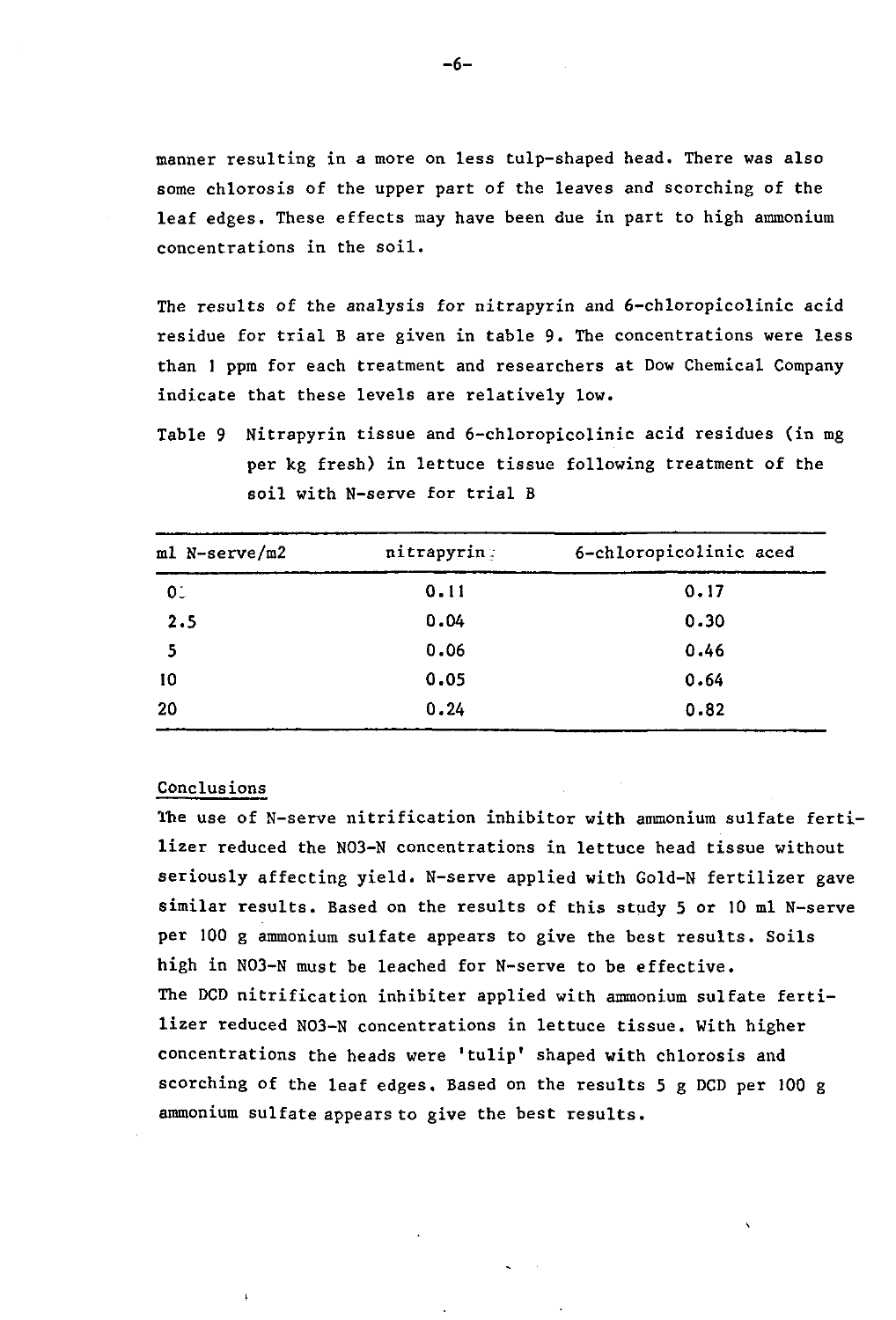manner resulting in a more on less tulp-shaped head. There was also some chlorosis of the upper part of the leaves and scorching of the leaf edges. These effects may have been due in part to high ammonium concentrations in the soil.

The results of the analysis for nitrapyrin and 6-chloropicolinic acid residue for trial B are given in table 9. The concentrations were less than 1 ppm for each treatment and researchers at Dow Chemical Company indicate that these levels are relatively low.

Table 9 Nitrapyrin tissue and 6-chloropicolinic acid residues (in mg per kg fresh) in lettuce tissue following treatment of the soil with N-serve for trial B

| ml N-serve/m2  | nitrapyring | 6-chloropicolinic aced |
|----------------|-------------|------------------------|
| 0 <sub>1</sub> | 0.11        | 0.17                   |
| 2.5            | 0.04        | 0.30                   |
| 5              | 0.06        | 0.46                   |
| 10             | 0.05        | 0.64                   |
| 20             | 0.24        | 0.82                   |

### Conclusions

The use of N-serve nitrification inhibitor with ammonium sulfate fertilizer reduced the N03-N concentrations in lettuce head tissue without seriously affecting yield. N-serve applied with Gold-N fertilizer gave similar results. Based on the results of this study 5 or 10 ml N-serve per 100 g ammonium sulfate appears to give the best results. Soils high in N03-N must be leached for N-serve to be effective. The DCD nitrification inhibiter applied with ammonium sulfate fertilizer reduced N03-N concentrations in lettuce tissue. With higher concentrations the heads were 'tulip' shaped with chlorosis and scorching of the leaf edges. Based on the results 5 g DCD per 100 g ammonium sulfate appears to give the best results.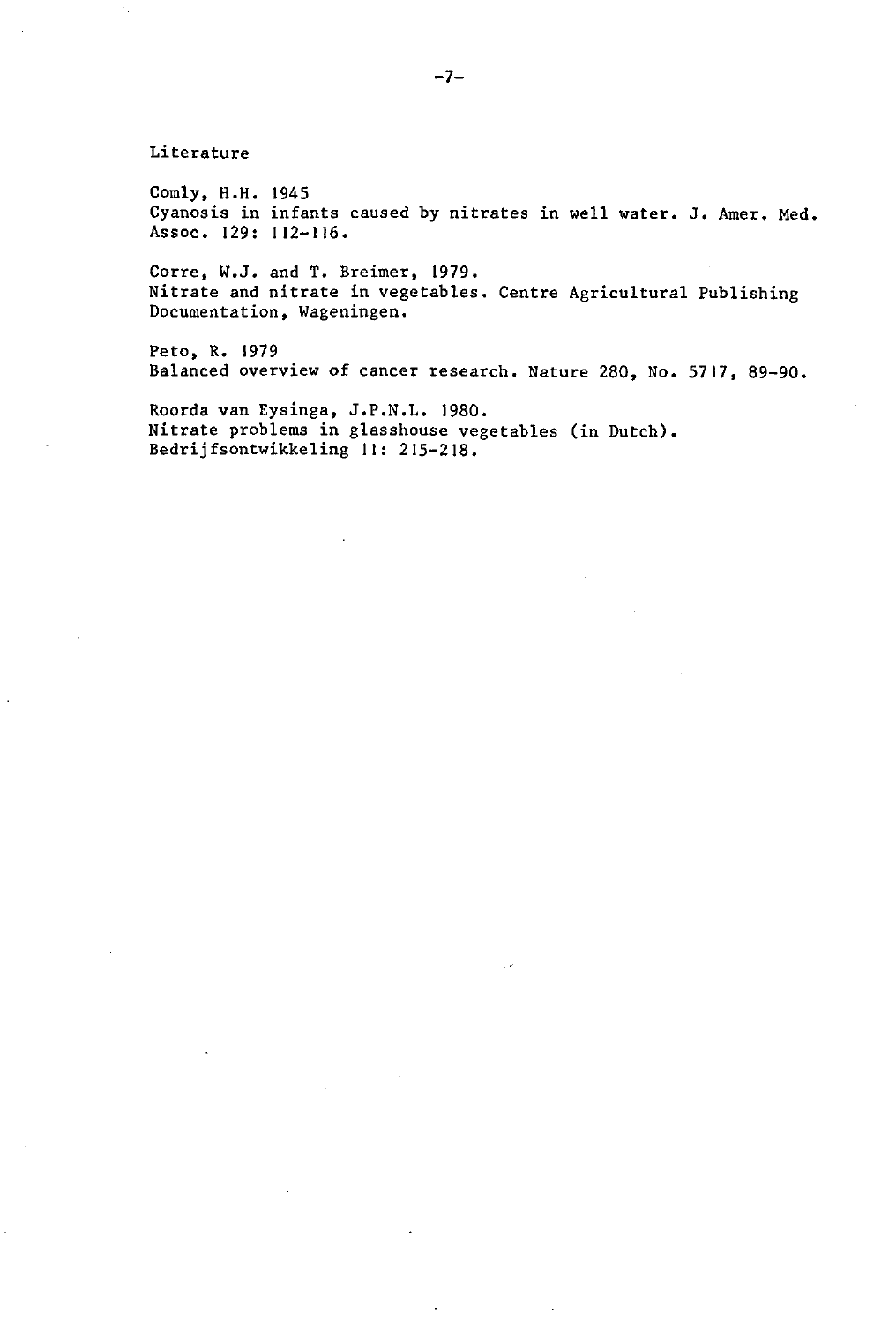Literature

Comly, H.H. 1945 Cyanosis in infants caused by nitrates in well water. J. Amer. Med. Assoc. 129: 112-116.

Corre, W.J. and T. Breimer, 1979. Nitrate and nitrate in vegetables. Centre Agricultural Publishing Documentation, Wageningen.

Peto, R. 1979 Balanced overview of cancer research. Nature 280, No. 5717, 89-90.

Roorda van Eysinga, J.P.N.L. 1980. Nitrate problems in glasshouse vegetables (in Dutch). Bedrijfsontwikkeling 11: 215-218.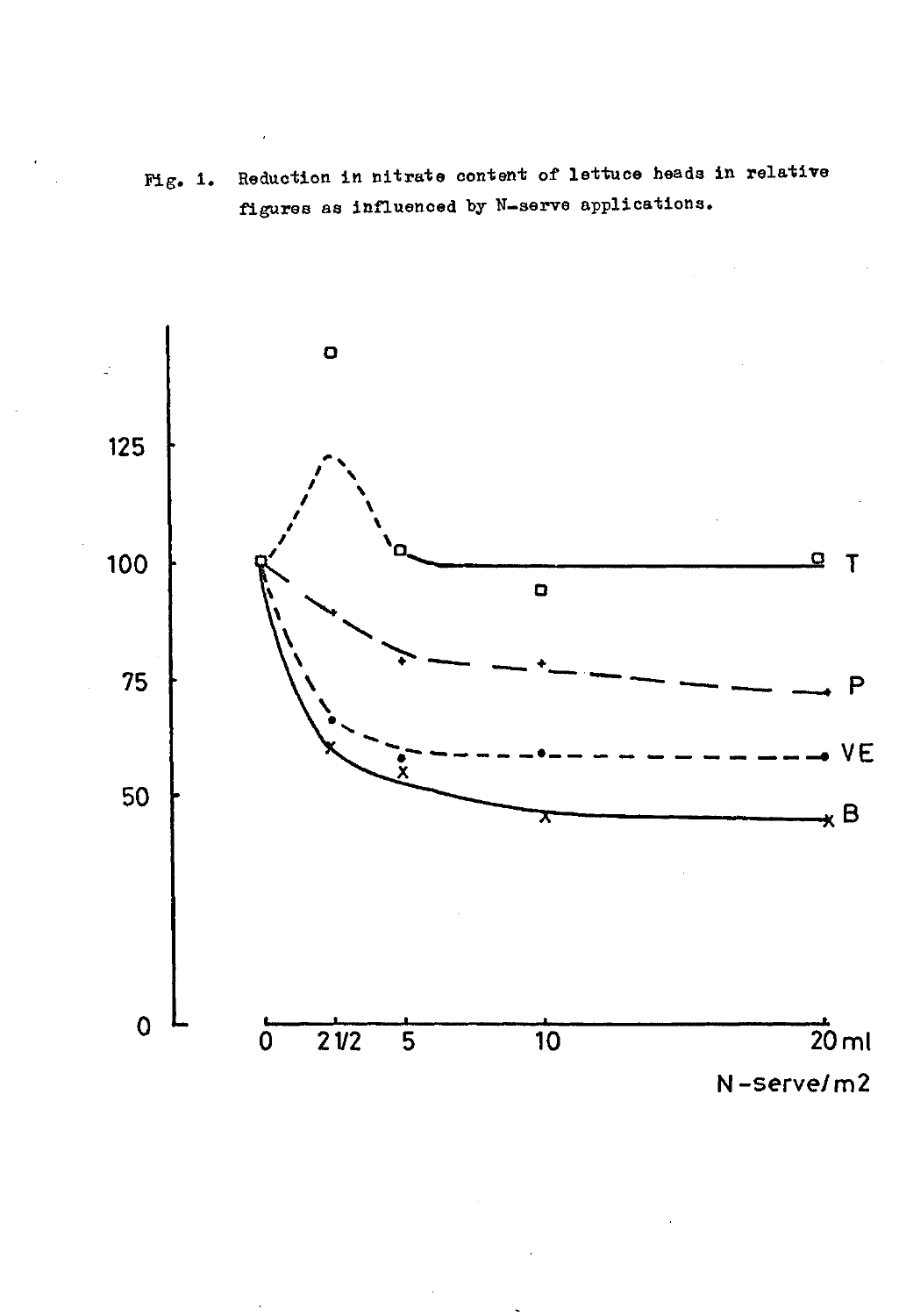Fig. 1. Reduction in nitrate content of lettuce heads in relative figures as influenced by N-serve applications.

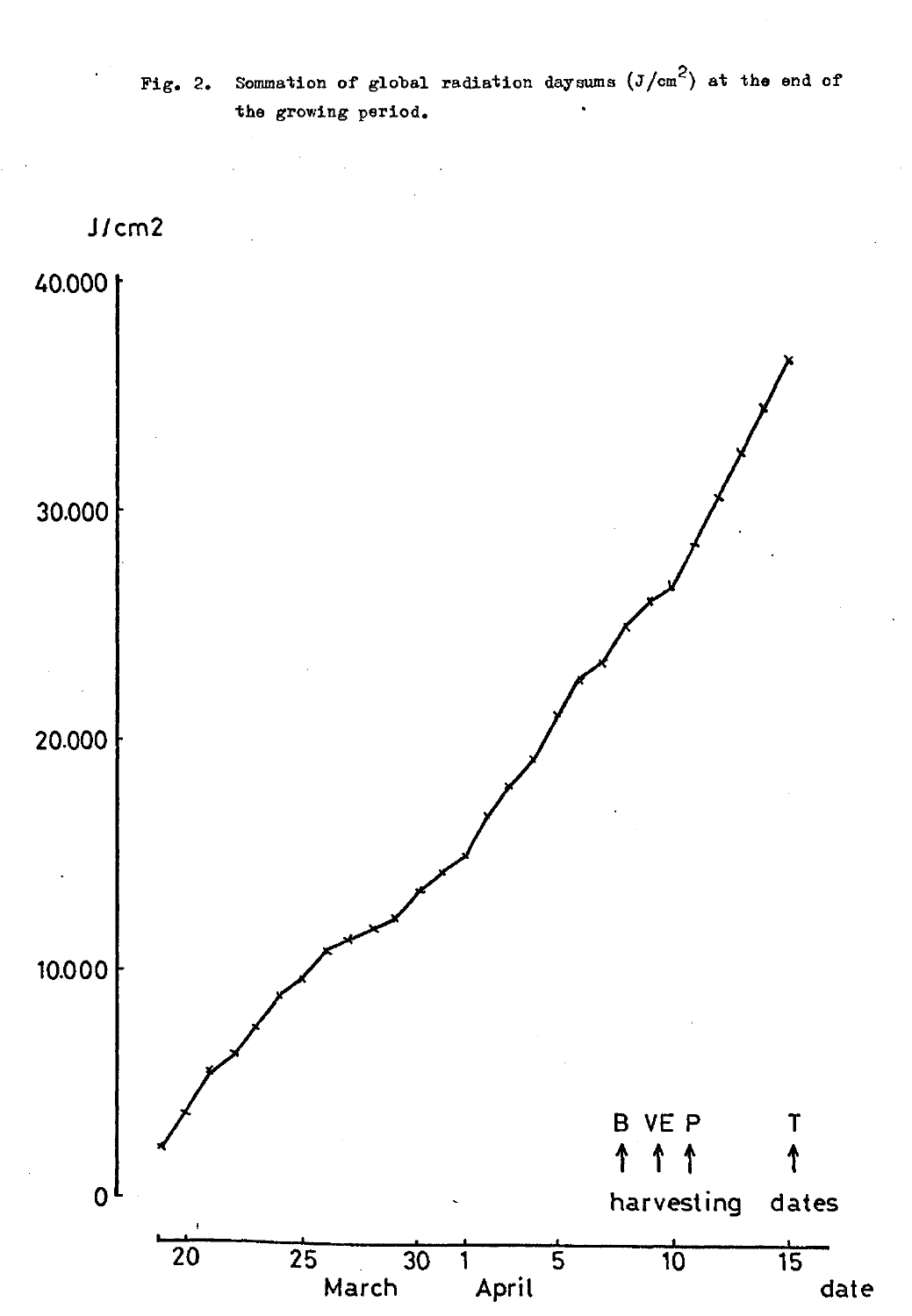Fig. 2. Sommation of global radiation daysums  $(J/cm<sup>2</sup>)$  at the end of the growing period.